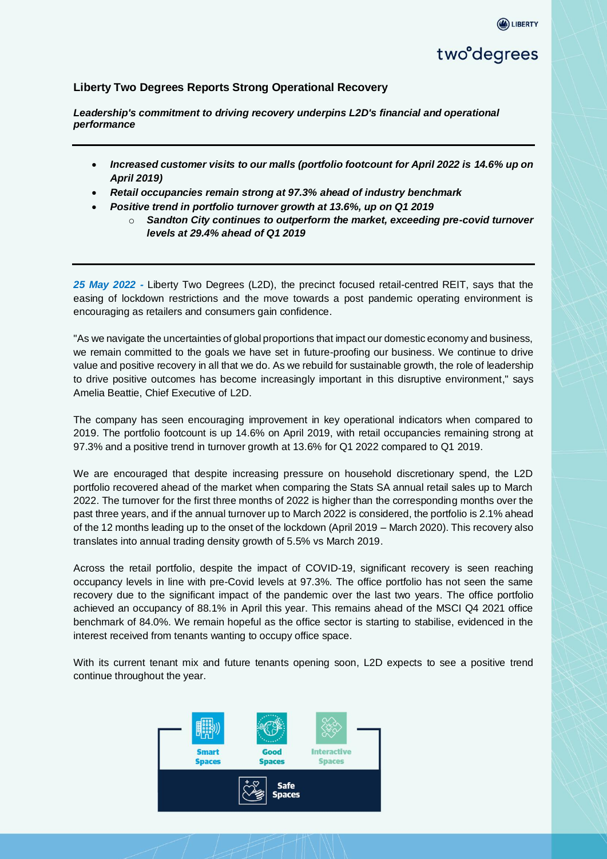### **Liberty Two Degrees Reports Strong Operational Recovery**

*Leadership's commitment to driving recovery underpins L2D's financial and operational performance* 

- *Increased customer visits to our malls (portfolio footcount for April 2022 is 14.6% up on April 2019)*
- *Retail occupancies remain strong at 97.3% ahead of industry benchmark*
- *Positive trend in portfolio turnover growth at 13.6%, up on Q1 2019* 
	- o *Sandton City continues to outperform the market, exceeding pre-covid turnover levels at 29.4% ahead of Q1 2019*

*25 May 2022 -* Liberty Two Degrees (L2D), the precinct focused retail-centred REIT, says that the easing of lockdown restrictions and the move towards a post pandemic operating environment is encouraging as retailers and consumers gain confidence.

"As we navigate the uncertainties of global proportions that impact our domestic economy and business, we remain committed to the goals we have set in future-proofing our business. We continue to drive value and positive recovery in all that we do. As we rebuild for sustainable growth, the role of leadership to drive positive outcomes has become increasingly important in this disruptive environment," says Amelia Beattie, Chief Executive of L2D.

The company has seen encouraging improvement in key operational indicators when compared to 2019. The portfolio footcount is up 14.6% on April 2019, with retail occupancies remaining strong at 97.3% and a positive trend in turnover growth at 13.6% for Q1 2022 compared to Q1 2019.

We are encouraged that despite increasing pressure on household discretionary spend, the L2D portfolio recovered ahead of the market when comparing the Stats SA annual retail sales up to March 2022. The turnover for the first three months of 2022 is higher than the corresponding months over the past three years, and if the annual turnover up to March 2022 is considered, the portfolio is 2.1% ahead of the 12 months leading up to the onset of the lockdown (April 2019 – March 2020). This recovery also translates into annual trading density growth of 5.5% vs March 2019.

Across the retail portfolio, despite the impact of COVID-19, significant recovery is seen reaching occupancy levels in line with pre-Covid levels at 97.3%. The office portfolio has not seen the same recovery due to the significant impact of the pandemic over the last two years. The office portfolio achieved an occupancy of 88.1% in April this year. This remains ahead of the MSCI Q4 2021 office benchmark of 84.0%. We remain hopeful as the office sector is starting to stabilise, evidenced in the interest received from tenants wanting to occupy office space.

With its current tenant mix and future tenants opening soon, L2D expects to see a positive trend continue throughout the year.

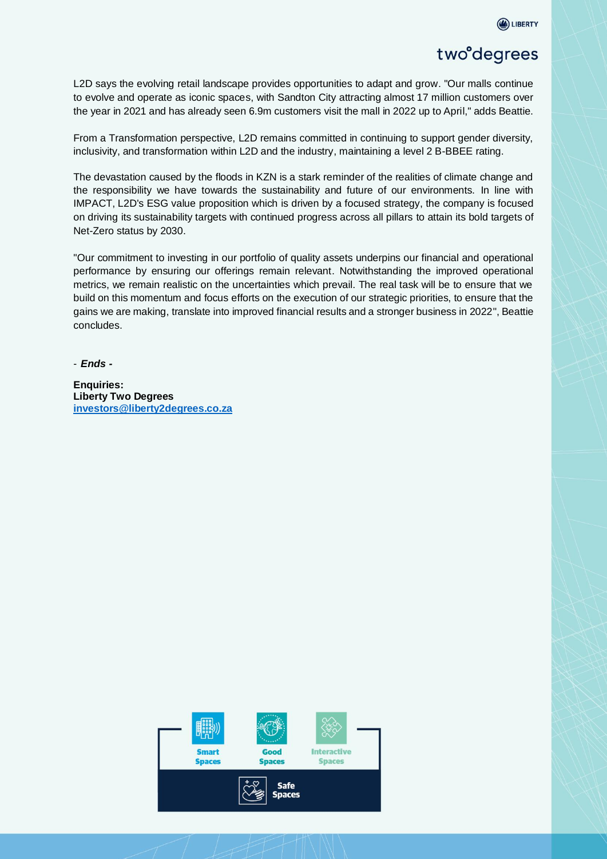

## two<sup>o</sup>degrees

L2D says the evolving retail landscape provides opportunities to adapt and grow. "Our malls continue to evolve and operate as iconic spaces, with Sandton City attracting almost 17 million customers over the year in 2021 and has already seen 6.9m customers visit the mall in 2022 up to April," adds Beattie.

From a Transformation perspective, L2D remains committed in continuing to support gender diversity, inclusivity, and transformation within L2D and the industry, maintaining a level 2 B-BBEE rating.

The devastation caused by the floods in KZN is a stark reminder of the realities of climate change and the responsibility we have towards the sustainability and future of our environments. In line with IMPACT, L2D's ESG value proposition which is driven by a focused strategy, the company is focused on driving its sustainability targets with continued progress across all pillars to attain its bold targets of Net-Zero status by 2030.

"Our commitment to investing in our portfolio of quality assets underpins our financial and operational performance by ensuring our offerings remain relevant. Notwithstanding the improved operational metrics, we remain realistic on the uncertainties which prevail. The real task will be to ensure that we build on this momentum and focus efforts on the execution of our strategic priorities, to ensure that the gains we are making, translate into improved financial results and a stronger business in 2022", Beattie concludes.

- *Ends -*

**Enquiries: Liberty Two Degrees [investors@liberty2degrees.co.za](mailto:L2DMedia@liberty2degrees.co.za)**

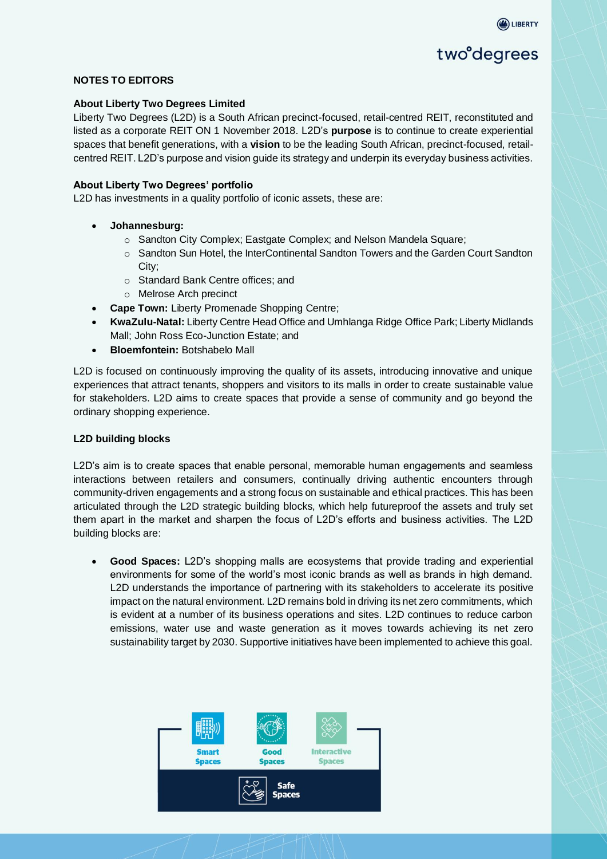

# two<sup>o</sup>degrees

#### **NOTES TO EDITORS**

#### **About Liberty Two Degrees Limited**

Liberty Two Degrees (L2D) is a South African precinct-focused, retail-centred REIT, reconstituted and listed as a corporate REIT ON 1 November 2018. L2D's **purpose** is to continue to create experiential spaces that benefit generations, with a **vision** to be the leading South African, precinct-focused, retailcentred REIT. L2D's purpose and vision guide its strategy and underpin its everyday business activities.

#### **About Liberty Two Degrees' portfolio**

L2D has investments in a quality portfolio of iconic assets, these are:

- **Johannesburg:** 
	- o Sandton City Complex; Eastgate Complex; and Nelson Mandela Square;
	- o Sandton Sun Hotel, the InterContinental Sandton Towers and the Garden Court Sandton City;
	- o Standard Bank Centre offices; and
	- o Melrose Arch precinct
- **Cape Town:** Liberty Promenade Shopping Centre;
- **KwaZulu-Natal:** Liberty Centre Head Office and Umhlanga Ridge Office Park; Liberty Midlands Mall; John Ross Eco-Junction Estate; and
- **Bloemfontein:** Botshabelo Mall

L2D is focused on continuously improving the quality of its assets, introducing innovative and unique experiences that attract tenants, shoppers and visitors to its malls in order to create sustainable value for stakeholders. L2D aims to create spaces that provide a sense of community and go beyond the ordinary shopping experience.

#### **L2D building blocks**

L2D's aim is to create spaces that enable personal, memorable human engagements and seamless interactions between retailers and consumers, continually driving authentic encounters through community-driven engagements and a strong focus on sustainable and ethical practices. This has been articulated through the L2D strategic building blocks, which help futureproof the assets and truly set them apart in the market and sharpen the focus of L2D's efforts and business activities. The L2D building blocks are:

• **Good Spaces:** L2D's shopping malls are ecosystems that provide trading and experiential environments for some of the world's most iconic brands as well as brands in high demand. L2D understands the importance of partnering with its stakeholders to accelerate its positive impact on the natural environment. L2D remains bold in driving its net zero commitments, which is evident at a number of its business operations and sites. L2D continues to reduce carbon emissions, water use and waste generation as it moves towards achieving its net zero sustainability target by 2030. Supportive initiatives have been implemented to achieve this goal.